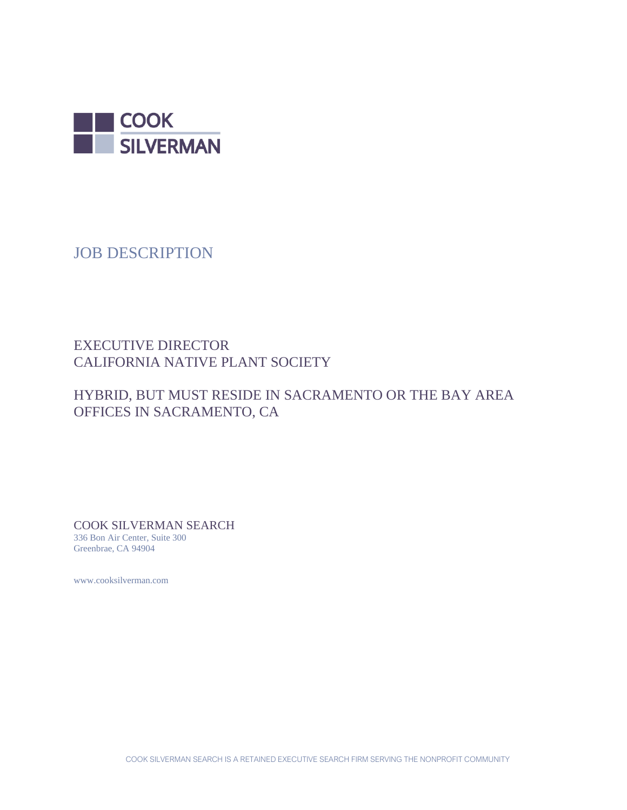

JOB DESCRIPTION

# EXECUTIVE DIRECTOR CALIFORNIA NATIVE PLANT SOCIETY

# HYBRID, BUT MUST RESIDE IN SACRAMENTO OR THE BAY AREA OFFICES IN SACRAMENTO, CA

COOK SILVERMAN SEARCH 336 Bon Air Center, Suite 300 Greenbrae, CA 94904

www.cooksilverman.com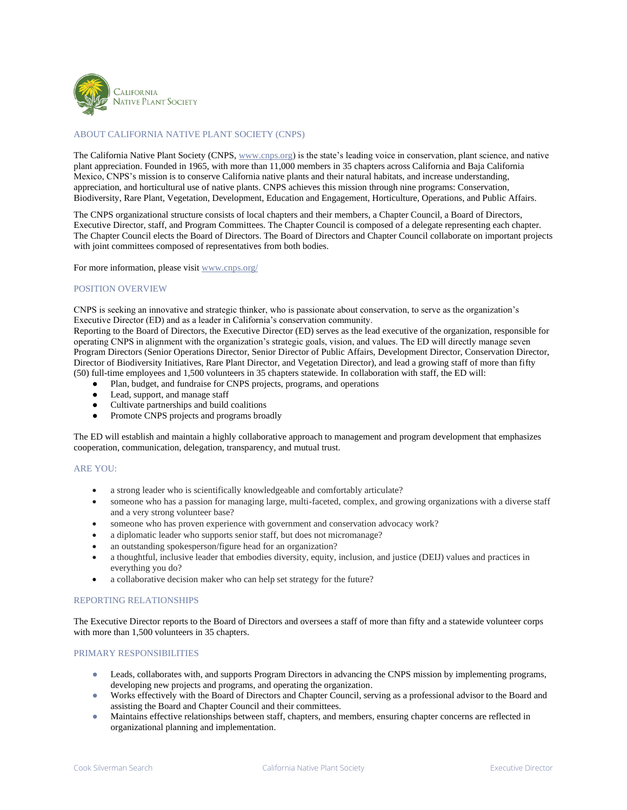

## ABOUT CALIFORNIA NATIVE PLANT SOCIETY (CNPS)

The California Native Plant Society (CNPS, [www.cnps.org\)](http://www.cnps.org/) is the state's leading voice in conservation, plant science, and native plant appreciation. Founded in 1965, with more than 11,000 members in 35 chapters across California and Baja California Mexico, CNPS's mission is to conserve California native plants and their natural habitats, and increase understanding, appreciation, and horticultural use of native plants. CNPS achieves this mission through nine programs: Conservation, Biodiversity, Rare Plant, Vegetation, Development, Education and Engagement, Horticulture, Operations, and Public Affairs.

The CNPS organizational structure consists of local chapters and their members, a Chapter Council, a Board of Directors, Executive Director, staff, and Program Committees. The Chapter Council is composed of a delegate representing each chapter. The Chapter Council elects the Board of Directors. The Board of Directors and Chapter Council collaborate on important projects with joint committees composed of representatives from both bodies.

For more information, please visit [www.cnps.org/](http://www.cnps.org/)

## POSITION OVERVIEW

CNPS is seeking an innovative and strategic thinker, who is passionate about conservation, to serve as the organization's Executive Director (ED) and as a leader in California's conservation community.

Reporting to the Board of Directors, the Executive Director (ED) serves as the lead executive of the organization, responsible for operating CNPS in alignment with the organization's strategic goals, vision, and values. The ED will directly manage seven Program Directors (Senior Operations Director, Senior Director of Public Affairs, Development Director, Conservation Director, Director of Biodiversity Initiatives, Rare Plant Director, and Vegetation Director), and lead a growing staff of more than fifty (50) full-time employees and 1,500 volunteers in 35 chapters statewide. In collaboration with staff, the ED will:

- Plan, budget, and fundraise for CNPS projects, programs, and operations
- Lead, support, and manage staff
- Cultivate partnerships and build coalitions
- Promote CNPS projects and programs broadly

The ED will establish and maintain a highly collaborative approach to management and program development that emphasizes cooperation, communication, delegation, transparency, and mutual trust.

## ARE YOU:

- a strong leader who is scientifically knowledgeable and comfortably articulate?
- someone who has a passion for managing large, multi-faceted, complex, and growing organizations with a diverse staff and a very strong volunteer base?
- someone who has proven experience with government and conservation advocacy work?
- a diplomatic leader who supports senior staff, but does not micromanage?
- an outstanding spokesperson/figure head for an organization?
- a thoughtful, inclusive leader that embodies diversity, equity, inclusion, and justice (DEIJ) values and practices in everything you do?
- a collaborative decision maker who can help set strategy for the future?

#### REPORTING RELATIONSHIPS

The Executive Director reports to the Board of Directors and oversees a staff of more than fifty and a statewide volunteer corps with more than 1,500 volunteers in 35 chapters.

## PRIMARY RESPONSIBILITIES

- Leads, collaborates with, and supports Program Directors in advancing the CNPS mission by implementing programs, developing new projects and programs, and operating the organization.
- Works effectively with the Board of Directors and Chapter Council, serving as a professional advisor to the Board and assisting the Board and Chapter Council and their committees.
- Maintains effective relationships between staff, chapters, and members, ensuring chapter concerns are reflected in organizational planning and implementation.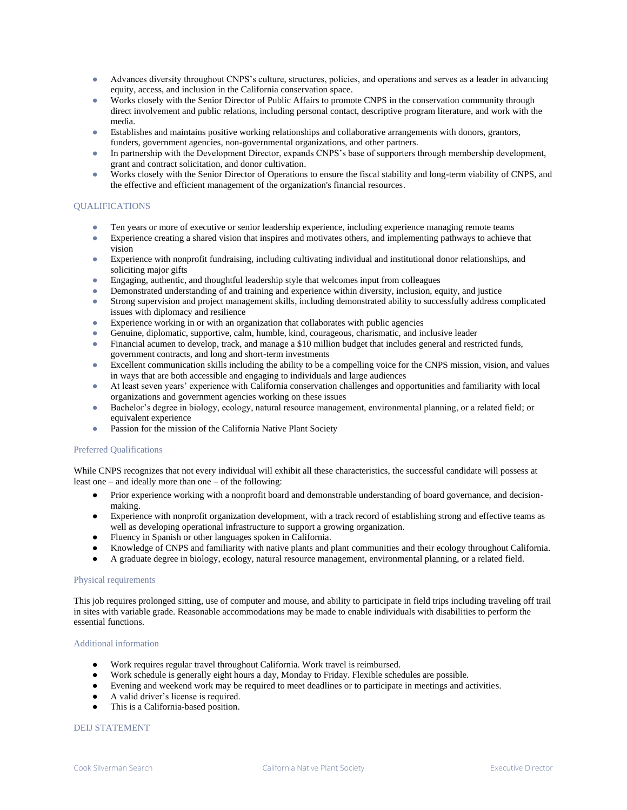- Advances diversity throughout CNPS's culture, structures, policies, and operations and serves as a leader in advancing equity, access, and inclusion in the California conservation space.
- Works closely with the Senior Director of Public Affairs to promote CNPS in the conservation community through direct involvement and public relations, including personal contact, descriptive program literature, and work with the media.
- Establishes and maintains positive working relationships and collaborative arrangements with donors, grantors, funders, government agencies, non-governmental organizations, and other partners.
- In partnership with the Development Director, expands CNPS's base of supporters through membership development, grant and contract solicitation, and donor cultivation.
- Works closely with the Senior Director of Operations to ensure the fiscal stability and long-term viability of CNPS, and the effective and efficient management of the organization's financial resources.

## **OUALIFICATIONS**

- Ten years or more of executive or senior leadership experience, including experience managing remote teams
- Experience creating a shared vision that inspires and motivates others, and implementing pathways to achieve that vision
- Experience with nonprofit fundraising, including cultivating individual and institutional donor relationships, and soliciting major gifts
- Engaging, authentic, and thoughtful leadership style that welcomes input from colleagues
- Demonstrated understanding of and training and experience within diversity, inclusion, equity, and justice
- Strong supervision and project management skills, including demonstrated ability to successfully address complicated issues with diplomacy and resilience
- Experience working in or with an organization that collaborates with public agencies
- Genuine, diplomatic, supportive, calm, humble, kind, courageous, charismatic, and inclusive leader
- Financial acumen to develop, track, and manage a \$10 million budget that includes general and restricted funds, government contracts, and long and short-term investments
- Excellent communication skills including the ability to be a compelling voice for the CNPS mission, vision, and values in ways that are both accessible and engaging to individuals and large audiences
- At least seven years' experience with California conservation challenges and opportunities and familiarity with local organizations and government agencies working on these issues
- Bachelor's degree in biology, ecology, natural resource management, environmental planning, or a related field; or equivalent experience
- Passion for the mission of the California Native Plant Society

## Preferred Qualifications

While CNPS recognizes that not every individual will exhibit all these characteristics, the successful candidate will possess at least one – and ideally more than one – of the following:

- Prior experience working with a nonprofit board and demonstrable understanding of board governance, and decisionmaking.
- Experience with nonprofit organization development, with a track record of establishing strong and effective teams as well as developing operational infrastructure to support a growing organization.
- Fluency in Spanish or other languages spoken in California.
- Knowledge of CNPS and familiarity with native plants and plant communities and their ecology throughout California.
- A graduate degree in biology, ecology, natural resource management, environmental planning, or a related field.

### Physical requirements

This job requires prolonged sitting, use of computer and mouse, and ability to participate in field trips including traveling off trail in sites with variable grade. Reasonable accommodations may be made to enable individuals with disabilities to perform the essential functions.

#### Additional information

- Work requires regular travel throughout California. Work travel is reimbursed.
- Work schedule is generally eight hours a day, Monday to Friday. Flexible schedules are possible.
- Evening and weekend work may be required to meet deadlines or to participate in meetings and activities.
- A valid driver's license is required.
- This is a California-based position.

## DEIJ STATEMENT